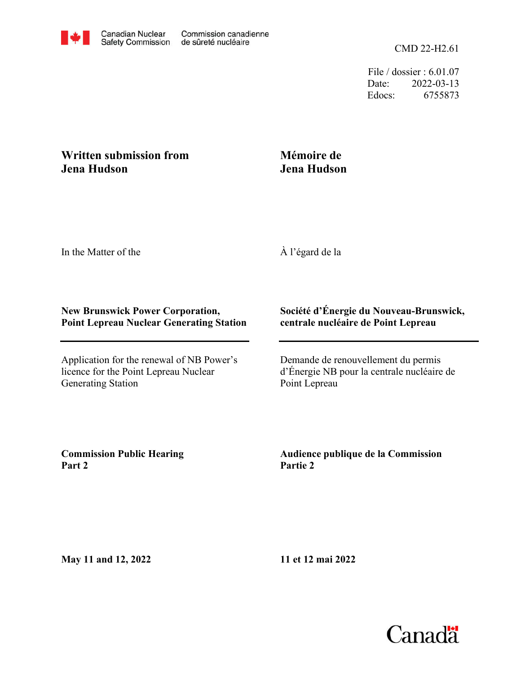CMD 22-H2.61

File / dossier : 6.01.07 Date: 2022-03-13 Edocs: 6755873

## **Written submission from Jena Hudson**

## **Mémoire de Jena Hudson**

In the Matter of the

À l'égard de la

## **New Brunswick Power Corporation, Point Lepreau Nuclear Generating Station**

Application for the renewal of NB Power's licence for the Point Lepreau Nuclear Generating Station

## **Société d'Énergie du Nouveau-Brunswick, centrale nucléaire de Point Lepreau**

Demande de renouvellement du permis d'Énergie NB pour la centrale nucléaire de Point Lepreau

**Commission Public Hearing Part 2**

**Audience publique de la Commission Partie 2**

**May 11 and 12, 2022**

**11 et 12 mai 2022**